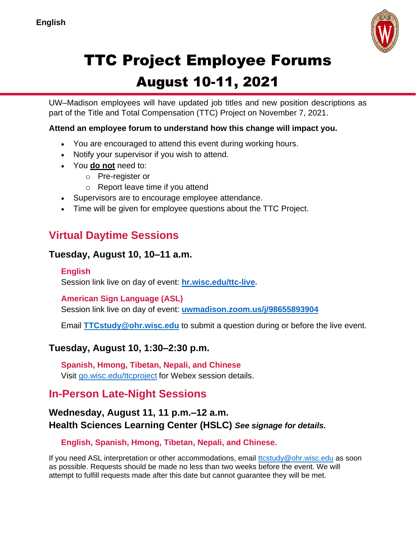

# TTC Project Employee Forums

# August 10-11, 2021

UW–Madison employees will have updated job titles and new position descriptions as part of the Title and Total Compensation (TTC) Project on November 7, 2021.

**Attend an employee forum to understand how this change will impact you.** 

- You are encouraged to attend this event during working hours.
- Notify your supervisor if you wish to attend.
- You **do not** need to:
	- o Pre-register or
	- o Report leave time if you attend
- Supervisors are to encourage employee attendance.
- Time will be given for employee questions about the TTC Project.

# **Virtual Daytime Sessions**

#### **Tuesday, August 10, 10–11 a.m.**

#### **English**

Session link live on day of event: **[hr.wisc.edu/ttc-live.](https://hr.wisc.edu/ttc-live)**

#### **American Sign Language (ASL)**

Session link live on day of event: **[uwmadison.zoom.us/j/98655893904](https://uwmadison.zoom.us/j/98655893904)**

Email **[TTCstudy@ohr.wisc.edu](mailto:TTCstudy@ohr.wisc.edu)** to submit a question during or before the live event.

#### **Tuesday, August 10, 1:30–2:30 p.m.**

**Spanish, Hmong, Tibetan, Nepali, and Chinese** Visit [go.wisc.edu/ttcproject](file:///C:/Users/ajulian/Documents/go.wisc.edu/ttcproject) for Webex session details.

## **In-Person Late-Night Sessions**

#### **Wednesday, August 11, 11 p.m.–12 a.m. Health Sciences Learning Center (HSLC)** *See signage for details.*

**English, Spanish, Hmong, Tibetan, Nepali, and Chinese.** 

If you need ASL interpretation or other accommodations, email [ttcstudy@ohr.wisc.edu](mailto:ttcstudy@ohr.wisc.edu) as soon as possible. Requests should be made no less than two weeks before the event. We will attempt to fulfill requests made after this date but cannot guarantee they will be met.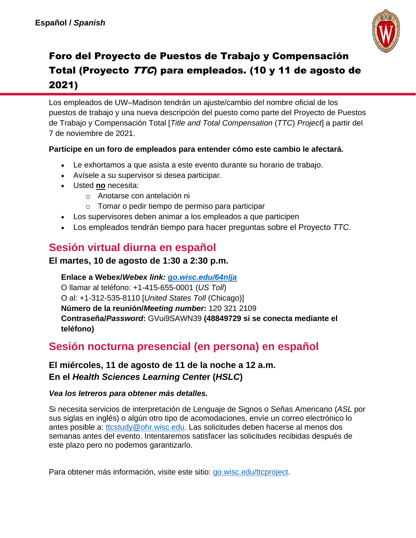

# Foro del Proyecto de Puestos de Trabajo y Compensación Total (Proyecto TTC) para empleados. (10 y 11 de agosto de 2021)

Los empleados de UW–Madison tendrán un ajuste/cambio del nombre oficial de los puestos de trabajo y una nueva descripción del puesto como parte del Proyecto de Puestos de Trabajo y Compensación Total [*Title and Total Compensation* (*TTC*) *Project*] a partir del 7 de noviembre de 2021.

#### **Participe en un foro de empleados para entender cómo este cambio le afectará.**

- Le exhortamos a que asista a este evento durante su horario de trabajo.
- Avísele a su supervisor si desea participar.
- Usted **no** necesita:
	- o Anotarse con antelación ni
	- o Tomar o pedir tiempo de permiso para participar
- Los supervisores deben animar a los empleados a que participen
- Los empleados tendrán tiempo para hacer preguntas sobre el Proyecto *TTC*.

# **Sesión virtual diurna en español**

#### **El martes, 10 de agosto de 1:30 a 2:30 p.m.**

**Enlace a Webex/***Webex link: [go.wisc.edu/64nlja](https://go.wisc.edu/64nlja)* O llamar al teléfono: +1-415-655-0001 (*US Toll*) O al: +1-312-535-8110 [*United States Toll* (Chicago)] **Número de la reunión/***Meeting number***:** 120 321 2109 **Contraseña/***Password***:** GVui9SAWN39 **(48849729 si se conecta mediante el teléfono)**

## **Sesión nocturna presencial (en persona) en español**

#### **El miércoles, 11 de agosto de 11 de la noche a 12 a.m. En el** *Health Sciences Learning Cente***r (***HSLC***)**

#### *Vea los letreros para obtener más detalles.*

Si necesita servicios de interpretación de Lenguaje de Signos o Señas Americano (*ASL* por sus siglas en inglés) o algún otro tipo de acomodaciones, envíe un correo electrónico lo antes posible a: [ttcstudy@ohr.wisc.edu.](mailto:ttcstudy@ohr.wisc.edu) Las solicitudes deben hacerse al menos dos semanas antes del evento. Intentaremos satisfacer las solicitudes recibidas después de este plazo pero no podemos garantizarlo.

Para obtener más información, visite este sitio: [go.wisc.edu/ttcproject.](file:///C:/Users/huw/AppData/Local/Microsoft/Windows/INetCache/Content.Outlook/ODSMKMDM/go.wisc.edu/ttcproject)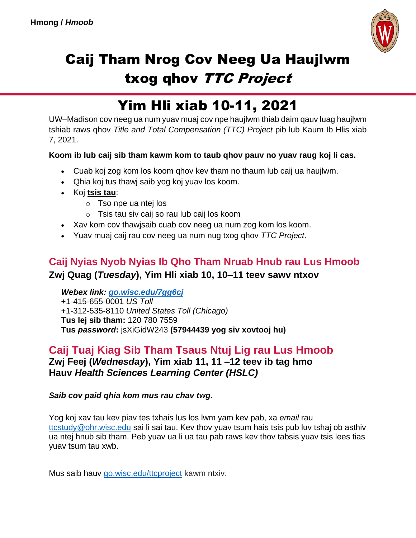

# Caij Tham Nrog Cov Neeg Ua Haujlwm txog qhov TTC Project

# Yim Hli xiab 10-11, 2021

UW–Madison cov neeg ua num yuav muaj cov npe haujlwm thiab daim qauv luag haujlwm tshiab raws qhov *Title and Total Compensation (TTC) Project* pib lub Kaum Ib Hlis xiab 7, 2021.

#### **Koom ib lub caij sib tham kawm kom to taub qhov pauv no yuav raug koj li cas.**

- Cuab koj zog kom los koom qhov kev tham no thaum lub caij ua haujlwm.
- Qhia koj tus thawj saib yog koj yuav los koom.
- Koj **tsis tau**:
	- o Tso npe ua ntej los
	- o Tsis tau siv caij so rau lub caij los koom
- Xav kom cov thawjsaib cuab cov neeg ua num zog kom los koom.
- Yuav muaj caij rau cov neeg ua num nug txog qhov *TTC Project*.

#### **Caij Nyias Nyob Nyias Ib Qho Tham Nruab Hnub rau Lus Hmoob Zwj Quag (***Tuesday***), Yim Hli xiab 10, 10–11 teev sawv ntxov**

*Webex link: [go.wisc.edu/7gg6cj](https://go.wisc.edu/7gg6cj)* +1-415-655-0001 *US Toll* +1-312-535-8110 *United States Toll (Chicago)* **Tus lej sib tham:** 120 780 7559 **Tus** *password***:** jsXiGidW243 **(57944439 yog siv xovtooj hu)**

#### **Caij Tuaj Kiag Sib Tham Tsaus Ntuj Lig rau Lus Hmoob Zwj Feej (***Wednesday***), Yim xiab 11, 11 –12 teev ib tag hmo Hauv** *Health Sciences Learning Center (HSLC)*

*Saib cov paid qhia kom mus rau chav twg.*

Yog koj xav tau kev piav tes txhais lus los lwm yam kev pab, xa *email* rau [ttcstudy@ohr.wisc.edu](mailto:ttcstudy@ohr.wisc.edu) sai li sai tau. Kev thov yuav tsum hais tsis pub luv tshaj ob asthiv ua ntej hnub sib tham. Peb yuav ua li ua tau pab raws kev thov tabsis yuav tsis lees tias yuav tsum tau xwb.

Mus saib hauv [go.wisc.edu/ttcproject](file:///C:/Users/huw/AppData/Local/Microsoft/Windows/INetCache/Content.Outlook/ODSMKMDM/go.wisc.edu/ttcproject) kawm ntxiv.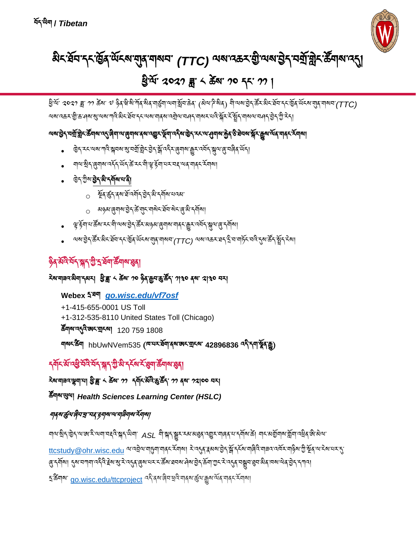६<sup>.</sup>ଝିশথ' [go.wisc.edu/ttcproject](file:///C:/Users/huw/AppData/Local/Microsoft/Windows/INetCache/Content.Outlook/ODSMKMDM/go.wisc.edu/ttcproject) འདི་ནས་ୡིབ་ཕྲའི་གནས་རྱུལ་རྒྱུས་མོན་གནང་རོགས།

ঘান্য-ষ্টান্'ট্টেন্'ন'জা<sup>:</sup>ই'ন্মঘ্'মহ্নি'ষ্ক্ৰান্' ASL শী'ষ্ক্ৰান্'ষ্ক্ৰুম'ৰ্মজ্ঞৰ্'ন'ভ্ৰুম'লাৰৰ ম'ন্মাৰা'ৰীত অৱ<br>শান্য-ষ্টান্'ট্টেন্'ন'জা:মিলামহন্মিণ্ডা <u>[ttcstudy@ohr.wisc.edu](mailto:ttcstudy@ohr.wisc.edu) ལ་འབྲེལ་གདུག་ག</u>ནང་རོགས། རེ་འདུན་རྲམས་བྱེད་སྐོ་དརོས་གୡིའི་གརྲའ་འལོར་གྱིས་ཀྱིས་གྱི་སྲོན་ལ་རས་པར་དུ་ ཞུ་དགོས། དུས་བཀག་འདིའི་རྗེས་སུ་རེ་འདུན་ཞུས་པར་ང་ཚོས་ཐབས་ཤེས་བྱེད་ཆོག་ཀྱང་རེ་འདུན་བསྒྲུབ་ཐུབ་མིན་ཁས་ལེན་བྱེད་དཀའ།

## শ্রম্ভূমেণ্ড্রিমন্ত্র"মহ'ঙ্গুন্মম'ম'শ্র্মীন্সম্ হঁন্যুম্য

ཚོགས་ཡུལ། *Health Sciences Learning Center (HSLC)*

### རེས་གཟའ་ལྷག་པ། ཕྱི་ཟླ་ ༨ ཚེས་ ༡༡ དགོང་མོའི་ཆུ་ཚོད་ ༡༡ ནས་ ༡༢།༠༠ བར།

## དགོང་མོ་འཕྱི་བོའི་བོད་སྐད་ཀྱི་མི་དངོས་ངོ་ཐུག་ཚོགས་ཐུན།

## শ<sup>ন্মহ</sup>'ৰ্ক্ষণ hbUwNVem535 (<sup>নে'মহ'ৰ্ষ্মণব্ৰুজহ'মুহৰণ 42896836 <sup>বই</sup>'ৰ্ণশ্বৰ্ষ্ণবক্সু)</sup>

**Webex** དྲ་ཐག *[go.wisc.edu/vf7osf](https://go.wisc.edu/vf7osf)* +1-415-655-0001 US Toll +1-312-535-8110 United States Toll (Chicago) ཚོགས་འདུའི་ཨང་གྲངས། 120 759 1808

## <sup>ঽয়</sup>ম্মন্মন্ম ইদ্ধা ২ <del>এ</del>মা ০০ ৡিব্রুমন্ত্র উঁন পৃথ০ বন্ধা থাণ্ড০ নম

# ৡ৾ঀ<sup>ৢ</sup>য়ড়৻ৼ৸ৼ৸ৼ৻ড়৻ৼ৻ড়৾ৼঢ়৸ৼ৻ড়৸

- ལས་བྱེད་རརོར་མིང་བོབ་དང་་སྱོན་ལོངས་གུན་གསབ་*(TTC*) ལས་འகར་ঘད་རྲི་བ་གེདོང་བའི་དུས་རΣོད་རྲོད་རོས།
- ড়ৢ੶৳য়ৼ৸ৼড়ৼ৸ঀৢৢ৽৸ৼ৽ঀৢঀ৾ৼঀৼ৸ৼ৸ড়৸ৼঀ৻ৼঀৢৼ৸ৼ৻ড়৸ৼ৻ড়ৢ৸ৼ৻ড়৻৸ড়৻৸
- o མୠམ་ୡୣ୩ས་བྱ៝ད་རΣོ་གུང་གསེང་རྲོབ་སེང་ୡུ་མི་དགོས།
- o ষ্ট্ৰ্ব্ক্ট্ন্ব্ৰ্ম্ম ষ্ট্ৰ্ন্ম্ব্ৰ্ম্ম কৰ্মী মানৱ্য
- ৢ ড়৾৲ড়ৢ৽৶ড়৾ৼ৻ড়ৢ৻ৼ৻ড়৸ৼ৻ৼ
- শৃণ ষ্ট্ৰিন (ৰ্শৰ্মণ বৰ্মন উদ্দেশ্বিক স্মাণ্ড ক্লিব্ৰাগ্ম ইন্সম্বৰ বিদ্যালয়)
- ড়ॆ<sub>ৗ</sub>৾৲ৼ৽৻৸য়ৼৗঢ়৾ৼয়ৢ৸য়ৼ৾য়ৢ৸য়৾ৼড়ৗৼ৾য়ৢ৸ৼঀৼ৻৾ড়য়৾৸য়৾ৼ৸ড়৾ৼ৸ড়৻৸ড়৻৸ড়৻৸ড়৻৸

# অম্বইন্স্প্ৰান্থীনষ্ট্ৰিশস্ত্ৰীৰ অৰ্থনিত বিভিন্ন কৰি বিভিন্ন কৰি বিভিন্ন কৰি বিভিন্ন কৰি বিভিন্ন কৰি বিভিন্ন ক

খ্রীর্ম<sup>.</sup> ২০২০ ক্ল*া* ঠর্জা �� ঙ্গ্রিশ্বিশ্বীর্ষ জীব শর্ষযুগ করি (ঝিঝ'দীর্ষর) শীত্মমান্তীন উমাধ্যমন্ত্র উদার্জন আমান (TTC) <u>য়য়রহম্ভীরূপিয়ার আবিয়েনে আবিয়ার বিশিষ্কার আবি মার্থার বিশিষ্ট্র বিশিষ্ট্র বিশিষ্ট্র (জ্ঞার) বিশিষ্ট্র বিশিষ</u>

# খ্রিস্ম ২০২০ ক্লু ≺ ক্লুখ ১০ << ১১ ।

# མིང་ཐོབ་དང་ཁྱོན་ཡོངས་གུན་གསབ་ *(TTC)* ལས་འཆར་གྱི་ལས་བྱེད་བགྲོ་གླེང་ཚོགས་འདུ།

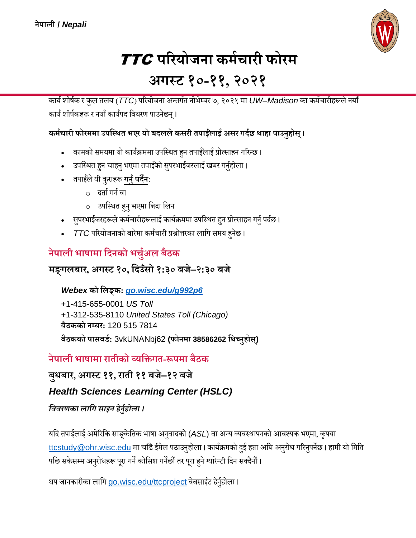

# TTC **परियोजना कर्मचािी फोिर् अगस्ट १०-११, २०२१**

कार्यशीर्यक र कुल तलब (*TTC*) पररर्ोजना अन्तर्यत नोभेम्बर ७, २०२१ मा *UW–Madison* का कमयचारीहरूले नर्ााँ कार्य शीर्षकहरू र नयाँ कार्यपद विवरण पाउनेछन्।

#### **कर्मचािी फोिर्र्ा उपस्स्ित भएि यो बदललेकसिी तपाईलं ाई असि गदमछ िाहा पाउनुहोस्।**

- कामको समयमा यो कार्यक्रममा उपस्थित हुन तपाईलाई प्रोत्साहन गरिन्छ ।
- उपस्थित हुन चाहनु भएमा तपाईको सुपरभाईजरलाई खबर गर्नुहोला।
- तपाईले यी कुराहरू **गर्नु पर्दैन**:
	- $\circ$  दर्ता गर्न वा
	- o उपवथित हुनुभएमा वबदा वलन
- सुपरभाईजरहरूले कर्मचारीहरूलाई कार्यक्रममा उपस्थित हुन प्रोत्साहन गर्नु पर्दछ।
- *TTC* पररर्ोजनाको बारेमा कमयचारी प्रश्नोत्तरका लावर् समर् हुनेछ ।

# **नेपाली भाषार्ा स्दनको भचमुअल बैठक**

### **र्ङ्गलबाि, अगस्ट १०, स्दउँसो १:३० बजे–२:३० बजे**

*Webex* **को स्लङ्क:** *[go.wisc.edu/g992p6](https://go.wisc.edu/g992p6)*

+1-415-655-0001 *US Toll* +1-312-535-8110 *United States Toll (Chicago)* **बैठकको नम्बि:** 120 515 7814 **बैठकको पासवर्म:** 3vkUNANbj62 **(फोनर्ा 38586262 स्िच्नुहोस)्**

## **नेपाली भाषार्ा िातीको व्यस्िगत-रूपर्ा बैठक**

**बुधबाि, अगस्ट ११, िाती ११ बजे–१२ बजे**

#### *Health Sciences Learning Center (HSLC)*

#### *वििरणका लावि साइन हेनुनहोला ।*

यदि तपाईलाई अमेरिकि साङ्केतिक भाषा अनुवादको (ASL) वा अन्य व्यवस्थापनको आवश्यक भएमा, कृपया [ttcstudy@ohr.wisc.edu](mailto:ttcstudy@ohr.wisc.edu) मा चाँडै ईमेल पठाउनुहोला । कार्यक्रमको दुई हप्ता अघि अनुरोध गरिनुपर्नेछ । हामी यो मिति पछि सकेसम्म अनुरोधहरू पूरा गर्ने कोसिश गर्नेछौं तर पूरा हुने ग्यारेन्टी दिन सक्दैनौं ।

थप जानकारीका लागि <u>[go.wisc.edu/ttcproject](file:///C:/Users/huw/AppData/Local/Microsoft/Windows/INetCache/Content.Outlook/ODSMKMDM/go.wisc.edu/ttcproject)</u> वेबसाईट हेर्नुहोला ।